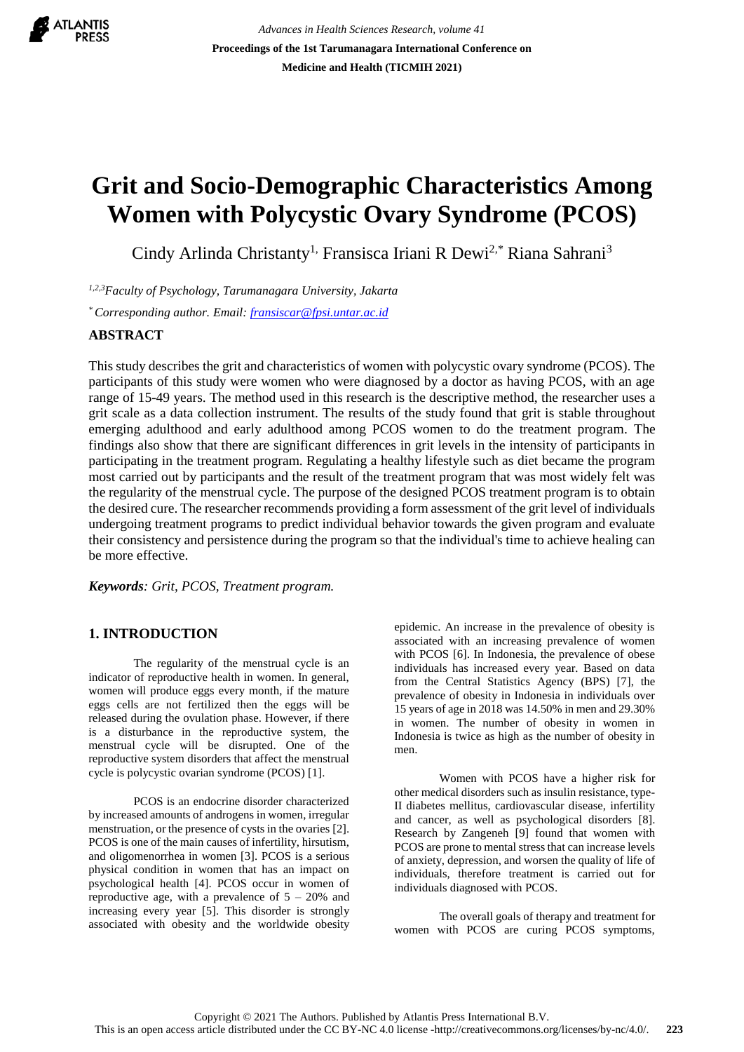

*Advances in Health Sciences Research, volume 41* **Proceedings of the 1st Tarumanagara International Conference on Medicine and Health (TICMIH 2021)**

# **Grit and Socio-Demographic Characteristics Among Women with Polycystic Ovary Syndrome (PCOS)**

Cindy Arlinda Christanty<sup>1,</sup> Fransisca Iriani R Dewi<sup>2,\*</sup> Riana Sahrani<sup>3</sup>

*1,2,3Faculty of Psychology, Tarumanagara University, Jakarta*

*\* Corresponding author. Email: [fransiscar@fpsi.untar.ac.id](mailto:fransiscar@fpsi.untar.ac.id)*

# **ABSTRACT**

This study describes the grit and characteristics of women with polycystic ovary syndrome (PCOS). The participants of this study were women who were diagnosed by a doctor as having PCOS, with an age range of 15-49 years. The method used in this research is the descriptive method, the researcher uses a grit scale as a data collection instrument. The results of the study found that grit is stable throughout emerging adulthood and early adulthood among PCOS women to do the treatment program. The findings also show that there are significant differences in grit levels in the intensity of participants in participating in the treatment program. Regulating a healthy lifestyle such as diet became the program most carried out by participants and the result of the treatment program that was most widely felt was the regularity of the menstrual cycle. The purpose of the designed PCOS treatment program is to obtain the desired cure. The researcher recommends providing a form assessment of the grit level of individuals undergoing treatment programs to predict individual behavior towards the given program and evaluate their consistency and persistence during the program so that the individual's time to achieve healing can be more effective.

*Keywords: Grit, PCOS, Treatment program.*

# **1. INTRODUCTION**

The regularity of the menstrual cycle is an indicator of reproductive health in women. In general, women will produce eggs every month, if the mature eggs cells are not fertilized then the eggs will be released during the ovulation phase. However, if there is a disturbance in the reproductive system, the menstrual cycle will be disrupted. One of the reproductive system disorders that affect the menstrual cycle is polycystic ovarian syndrome (PCOS) [1].

PCOS is an endocrine disorder characterized by increased amounts of androgens in women, irregular menstruation, or the presence of cysts in the ovaries [2]. PCOS is one of the main causes of infertility, hirsutism, and oligomenorrhea in women [3]. PCOS is a serious physical condition in women that has an impact on psychological health [4]. PCOS occur in women of reproductive age, with a prevalence of  $5 - 20\%$  and increasing every year [5]. This disorder is strongly associated with obesity and the worldwide obesity epidemic. An increase in the prevalence of obesity is associated with an increasing prevalence of women with PCOS [6]. In Indonesia, the prevalence of obese individuals has increased every year. Based on data from the Central Statistics Agency (BPS) [7], the prevalence of obesity in Indonesia in individuals over 15 years of age in 2018 was 14.50% in men and 29.30% in women. The number of obesity in women in Indonesia is twice as high as the number of obesity in men.

Women with PCOS have a higher risk for other medical disorders such as insulin resistance, type-II diabetes mellitus, cardiovascular disease, infertility and cancer, as well as psychological disorders [8]. Research by Zangeneh [9] found that women with PCOS are prone to mental stress that can increase levels of anxiety, depression, and worsen the quality of life of individuals, therefore treatment is carried out for individuals diagnosed with PCOS.

The overall goals of therapy and treatment for women with PCOS are curing PCOS symptoms,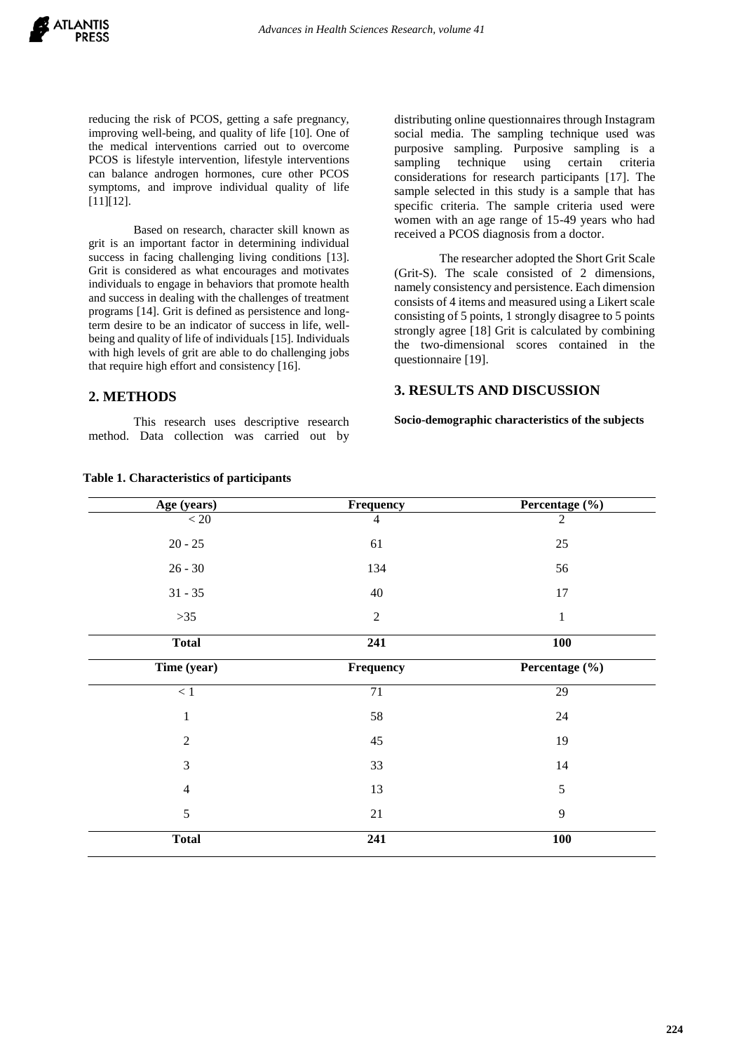reducing the risk of PCOS, getting a safe pregnancy, improving well-being, and quality of life [10]. One of the medical interventions carried out to overcome PCOS is lifestyle intervention, lifestyle interventions can balance androgen hormones, cure other PCOS symptoms, and improve individual quality of life [11][12].

Based on research, character skill known as grit is an important factor in determining individual success in facing challenging living conditions [13]. Grit is considered as what encourages and motivates individuals to engage in behaviors that promote health and success in dealing with the challenges of treatment programs [14]. Grit is defined as persistence and longterm desire to be an indicator of success in life, wellbeing and quality of life of individuals [15]. Individuals with high levels of grit are able to do challenging jobs that require high effort and consistency [16].

# **2. METHODS**

This research uses descriptive research method. Data collection was carried out by distributing online questionnaires through Instagram social media. The sampling technique used was purposive sampling. Purposive sampling is a sampling technique using certain criteria considerations for research participants [17]. The sample selected in this study is a sample that has specific criteria. The sample criteria used were women with an age range of 15-49 years who had received a PCOS diagnosis from a doctor.

The researcher adopted the Short Grit Scale (Grit-S). The scale consisted of 2 dimensions, namely consistency and persistence. Each dimension consists of 4 items and measured using a Likert scale consisting of 5 points, 1 strongly disagree to 5 points strongly agree [18] Grit is calculated by combining the two-dimensional scores contained in the questionnaire [19].

# **3. RESULTS AND DISCUSSION**

**Socio-demographic characteristics of the subjects**

| Age (years)    | Frequency      | Percentage (%) |
|----------------|----------------|----------------|
| $< 20\,$       | $\overline{4}$ | $\overline{2}$ |
| $20 - 25$      | 61             | 25             |
| $26 - 30$      | 134            | 56             |
| $31 - 35$      | 40             | 17             |
| $>35$          | $\overline{2}$ | $\mathbf{1}$   |
| <b>Total</b>   | 241            | 100            |
| Time (year)    | Frequency      | Percentage (%) |
| $<1\,$         | $71\,$         | 29             |
| $\mathbf{1}$   | 58             | $24\,$         |
| $\overline{2}$ | 45             | 19             |
| 3              | 33             | 14             |
| $\overline{4}$ | 13             | 5              |
| 5              | 21             | 9              |
| <b>Total</b>   | 241            | 100            |

### **Table 1. Characteristics of participants**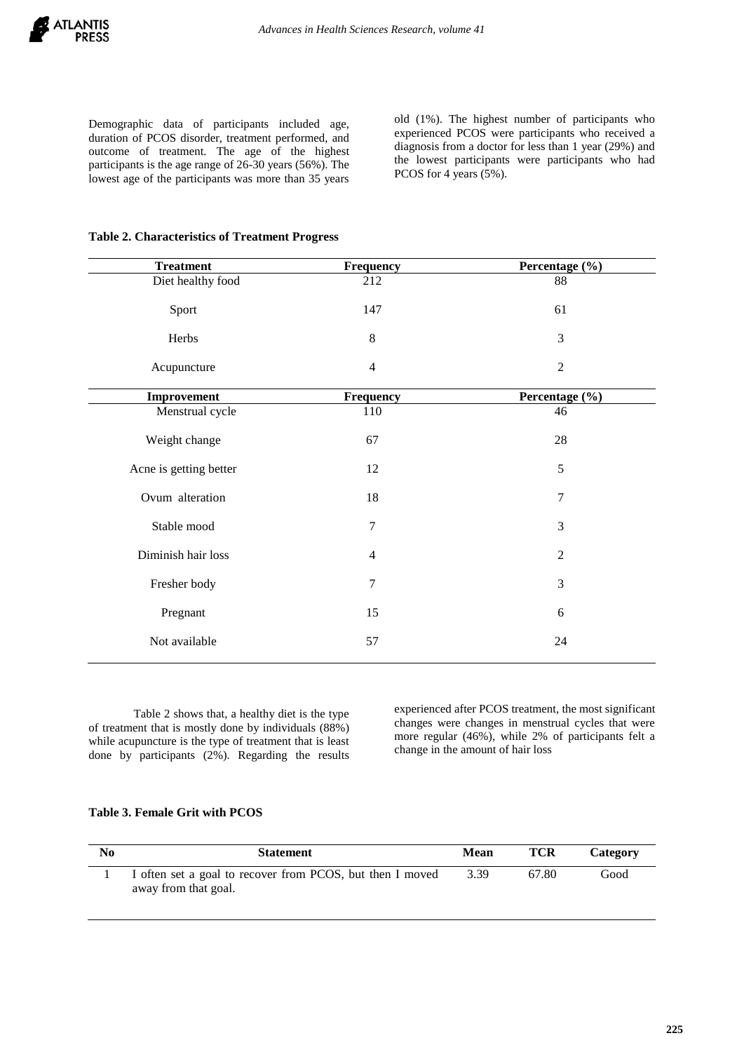Demographic data of participants included age, duration of PCOS disorder, treatment performed, and outcome of treatment. The age of the highest participants is the age range of 26-30 years (56%). The lowest age of the participants was more than 35 years

old (1%). The highest number of participants who experienced PCOS were participants who received a diagnosis from a doctor for less than 1 year (29%) and the lowest participants were participants who had PCOS for 4 years (5%).

|  | <b>Table 2. Characteristics of Treatment Progress</b> |  |  |
|--|-------------------------------------------------------|--|--|
|--|-------------------------------------------------------|--|--|

| <b>Treatment</b>       | Frequency      | Percentage (%) |
|------------------------|----------------|----------------|
| Diet healthy food      | 212            | 88             |
| Sport                  | 147            | 61             |
| Herbs                  | 8              | 3              |
| Acupuncture            | $\overline{4}$ | $\overline{2}$ |
| Improvement            | Frequency      | Percentage (%) |
| Menstrual cycle        | 110            | 46             |
| Weight change          | 67             | 28             |
| Acne is getting better | 12             | 5              |
| Ovum alteration        | 18             | $\overline{7}$ |
| Stable mood            | 7              | 3              |
| Diminish hair loss     | $\overline{4}$ | $\overline{2}$ |
| Fresher body           | $\tau$         | 3              |
| Pregnant               | 15             | 6              |
| Not available          | 57             | 24             |

Table 2 shows that, a healthy diet is the type of treatment that is mostly done by individuals (88%) while acupuncture is the type of treatment that is least done by participants (2%). Regarding the results experienced after PCOS treatment, the most significant changes were changes in menstrual cycles that were more regular (46%), while 2% of participants felt a change in the amount of hair loss

#### **Table 3. Female Grit with PCOS**

| No | <b>Statement</b>                                                                  | <b>Mean</b> | TCR   | Category |
|----|-----------------------------------------------------------------------------------|-------------|-------|----------|
|    | I often set a goal to recover from PCOS, but then I moved<br>away from that goal. | 3.39        | 67.80 | Good     |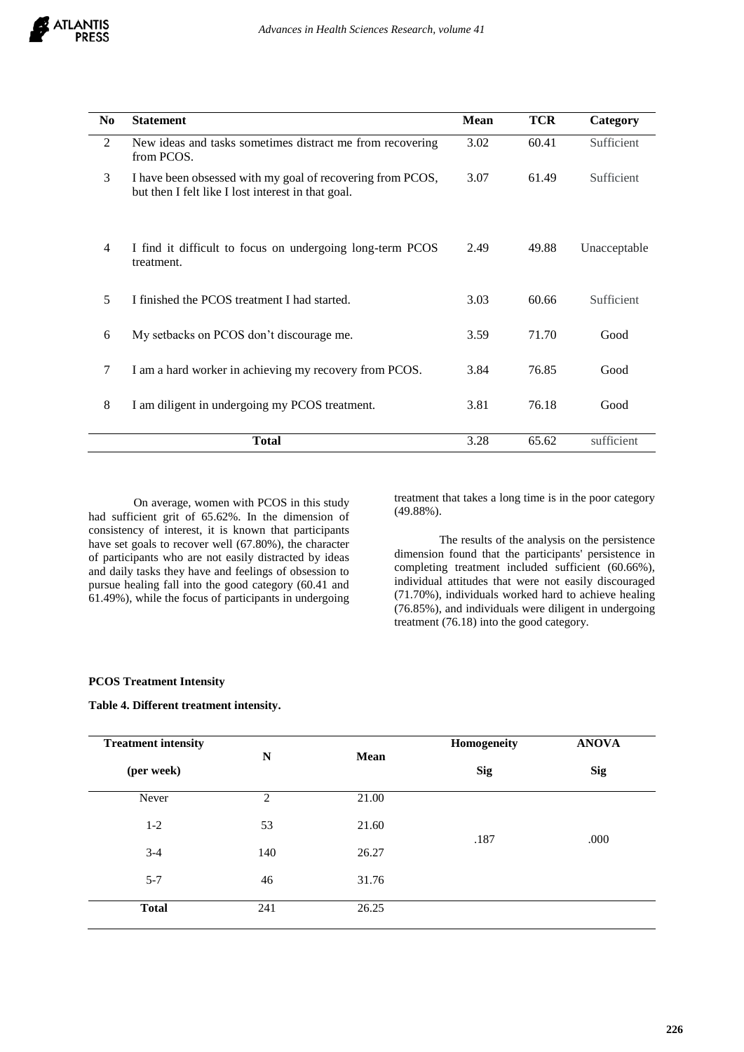

| N <sub>0</sub> | <b>Statement</b>                                                                                                 | <b>Mean</b> | <b>TCR</b> | Category     |
|----------------|------------------------------------------------------------------------------------------------------------------|-------------|------------|--------------|
| $\overline{2}$ | New ideas and tasks sometimes distract me from recovering<br>from PCOS.                                          | 3.02        | 60.41      | Sufficient   |
| 3              | I have been obsessed with my goal of recovering from PCOS,<br>but then I felt like I lost interest in that goal. | 3.07        | 61.49      | Sufficient   |
| 4              | I find it difficult to focus on undergoing long-term PCOS<br>treatment.                                          | 2.49        | 49.88      | Unacceptable |
| 5              | I finished the PCOS treatment I had started.                                                                     | 3.03        | 60.66      | Sufficient   |
| 6              | My setbacks on PCOS don't discourage me.                                                                         | 3.59        | 71.70      | Good         |
| 7              | I am a hard worker in achieving my recovery from PCOS.                                                           |             | 76.85      | Good         |
| 8              | I am diligent in undergoing my PCOS treatment.                                                                   | 3.81        | 76.18      | Good         |
|                | <b>Total</b>                                                                                                     | 3.28        | 65.62      | sufficient   |

On average, women with PCOS in this study had sufficient grit of 65.62%. In the dimension of consistency of interest, it is known that participants have set goals to recover well (67.80%), the character of participants who are not easily distracted by ideas and daily tasks they have and feelings of obsession to pursue healing fall into the good category (60.41 and 61.49%), while the focus of participants in undergoing

treatment that takes a long time is in the poor category (49.88%).

The results of the analysis on the persistence dimension found that the participants' persistence in completing treatment included sufficient (60.66%), individual attitudes that were not easily discouraged (71.70%), individuals worked hard to achieve healing (76.85%), and individuals were diligent in undergoing treatment (76.18) into the good category.

## **PCOS Treatment Intensity**

## **Table 4. Different treatment intensity.**

| <b>Treatment intensity</b> | N<br><b>Mean</b> | Homogeneity | <b>ANOVA</b> |            |
|----------------------------|------------------|-------------|--------------|------------|
| (per week)                 |                  |             | <b>Sig</b>   | <b>Sig</b> |
| Never                      | 2                | 21.00       |              |            |
| $1 - 2$                    | 53               | 21.60       | .187         | .000       |
| $3 - 4$                    | 140              | 26.27       |              |            |
| $5 - 7$                    | 46               | 31.76       |              |            |
| <b>Total</b>               | 241              | 26.25       |              |            |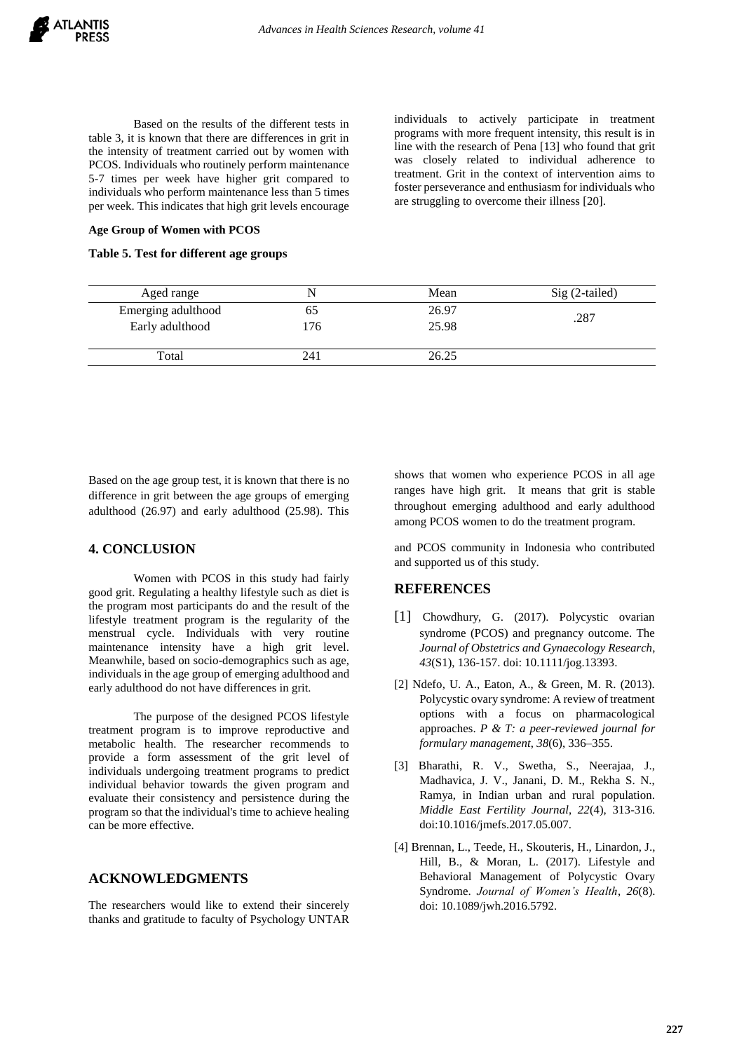Based on the results of the different tests in table 3, it is known that there are differences in grit in the intensity of treatment carried out by women with PCOS. Individuals who routinely perform maintenance 5-7 times per week have higher grit compared to individuals who perform maintenance less than 5 times per week. This indicates that high grit levels encourage

**Age Group of Women with PCOS**

## **Table 5. Test for different age groups**

individuals to actively participate in treatment programs with more frequent intensity, this result is in line with the research of Pena [13] who found that grit was closely related to individual adherence to treatment. Grit in the context of intervention aims to foster perseverance and enthusiasm for individuals who are struggling to overcome their illness [20].

| Aged range         |     | Mean  | $Sig(2-tailed)$ |
|--------------------|-----|-------|-----------------|
| Emerging adulthood |     | 26.97 | .287            |
| Early adulthood    | 176 | 25.98 |                 |
| Total              | 241 | 26.25 |                 |

Based on the age group test, it is known that there is no difference in grit between the age groups of emerging adulthood (26.97) and early adulthood (25.98). This

## **4. CONCLUSION**

Women with PCOS in this study had fairly good grit. Regulating a healthy lifestyle such as diet is the program most participants do and the result of the lifestyle treatment program is the regularity of the menstrual cycle. Individuals with very routine maintenance intensity have a high grit level. Meanwhile, based on socio-demographics such as age, individuals in the age group of emerging adulthood and early adulthood do not have differences in grit.

The purpose of the designed PCOS lifestyle treatment program is to improve reproductive and metabolic health. The researcher recommends to provide a form assessment of the grit level of individuals undergoing treatment programs to predict individual behavior towards the given program and evaluate their consistency and persistence during the program so that the individual's time to achieve healing can be more effective.

# **ACKNOWLEDGMENTS**

The researchers would like to extend their sincerely thanks and gratitude to faculty of Psychology UNTAR shows that women who experience PCOS in all age ranges have high grit. It means that grit is stable throughout emerging adulthood and early adulthood among PCOS women to do the treatment program.

and PCOS community in Indonesia who contributed and supported us of this study.

# **REFERENCES**

- [1] Chowdhury, G. (2017). Polycystic ovarian syndrome (PCOS) and pregnancy outcome. The *Journal of Obstetrics and Gynaecology Research*, *43*(S1), 136-157. doi: 10.1111/jog.13393.
- [2] Ndefo, U. A., Eaton, A., & Green, M. R. (2013). Polycystic ovary syndrome: A review of treatment options with a focus on pharmacological approaches. *P & T: a peer-reviewed journal for formulary management*, *38*(6), 336–355.
- [3] Bharathi, R. V., Swetha, S., Neerajaa, J., Madhavica, J. V., Janani, D. M., Rekha S. N., Ramya, in Indian urban and rural population. *Middle East Fertility Journal*, *22*(4), 313-316. doi:10.1016/jmefs.2017.05.007.
- [4] Brennan, L., Teede, H., Skouteris, H., Linardon, J., Hill, B., & Moran, L. (2017). Lifestyle and Behavioral Management of Polycystic Ovary Syndrome. *Journal of Women's Health*, *26*(8). doi: 10.1089/jwh.2016.5792.